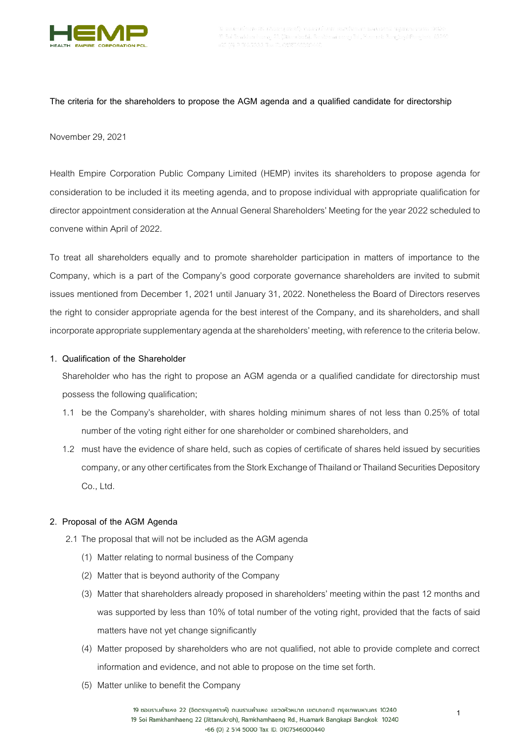

## **The criteria for the shareholders to propose the AGM agenda and a qualified candidate for directorship**

#### November 29, 2021

Health Empire Corporation Public Company Limited (HEMP) invites its shareholders to propose agenda for consideration to be included it its meeting agenda, and to propose individual with appropriate qualification for director appointment consideration at the Annual General Shareholders' Meeting for the year 2022 scheduled to convene within April of 2022.

To treat all shareholders equally and to promote shareholder participation in matters of importance to the Company, which is a part of the Company's good corporate governance shareholders are invited to submit issues mentioned from December 1, 2021 until January 31, 2022. Nonetheless the Board of Directors reserves the right to consider appropriate agenda for the best interest of the Company, and its shareholders, and shall incorporate appropriate supplementary agenda at the shareholders' meeting, with reference to the criteria below.

# **1. Qualification of the Shareholder**

Shareholder who has the right to propose an AGM agenda or a qualified candidate for directorship must possess the following qualification;

- 1.1 be the Company's shareholder, with shares holding minimum shares of not less than 0.25% of total number of the voting right either for one shareholder or combined shareholders, and
- 1.2 must have the evidence of share held, such as copies of certificate of shares held issued by securities company, or any other certificates from the Stork Exchange of Thailand or Thailand Securities Depository Co., Ltd.

## **2. Proposal of the AGM Agenda**

- 2.1 The proposal that will not be included as the AGM agenda
	- (1) Matter relating to normal business of the Company
	- (2) Matter that is beyond authority of the Company
	- (3) Matter that shareholders already proposed in shareholders' meeting within the past 12 months and was supported by less than 10% of total number of the voting right, provided that the facts of said matters have not yet change significantly
	- (4) Matter proposed by shareholders who are not qualified, not able to provide complete and correct information and evidence, and not able to propose on the time set forth.
	- (5) Matter unlike to benefit the Company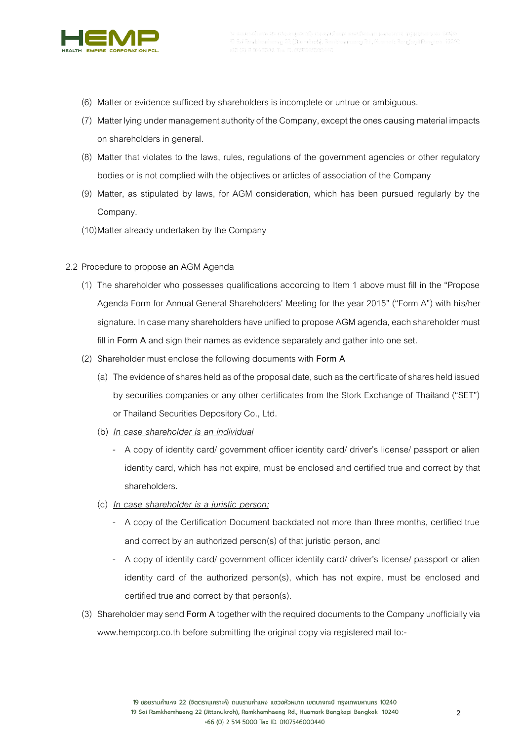

- (6) Matter or evidence sufficed by shareholders is incomplete or untrue or ambiguous.
- (7) Matter lying under management authority of the Company, except the ones causing material impacts on shareholders in general.
- (8) Matter that violates to the laws, rules, regulations of the government agencies or other regulatory bodies or is not complied with the objectives or articles of association of the Company
- (9) Matter, as stipulated by laws, for AGM consideration, which has been pursued regularly by the Company.
- (10)Matter already undertaken by the Company
- 2.2 Procedure to propose an AGM Agenda
	- (1) The shareholder who possesses qualifications according to Item 1 above must fill in the "Propose Agenda Form for Annual General Shareholders' Meeting for the year 2015" ("Form A") with his/her signature. In case many shareholders have unified to propose AGM agenda, each shareholder must fill in **Form A** and sign their names as evidence separately and gather into one set.
	- (2) Shareholder must enclose the following documents with **Form A**
		- (a) The evidence of shares held as of the proposal date, such as the certificate of shares held issued by securities companies or any other certificates from the Stork Exchange of Thailand ("SET") or Thailand Securities Depository Co., Ltd.
		- (b) *In case shareholder is an individual*
			- A copy of identity card/ government officer identity card/ driver's license/ passport or alien identity card, which has not expire, must be enclosed and certified true and correct by that shareholders.
		- (c) *In case shareholder is a juristic person;*
			- A copy of the Certification Document backdated not more than three months, certified true and correct by an authorized person(s) of that juristic person, and
			- A copy of identity card/ government officer identity card/ driver's license/ passport or alien identity card of the authorized person(s), which has not expire, must be enclosed and certified true and correct by that person(s).
	- (3) Shareholder may send **Form A** together with the required documents to the Company unofficially via www.hempcorp.co.th before submitting the original copy via registered mail to:-